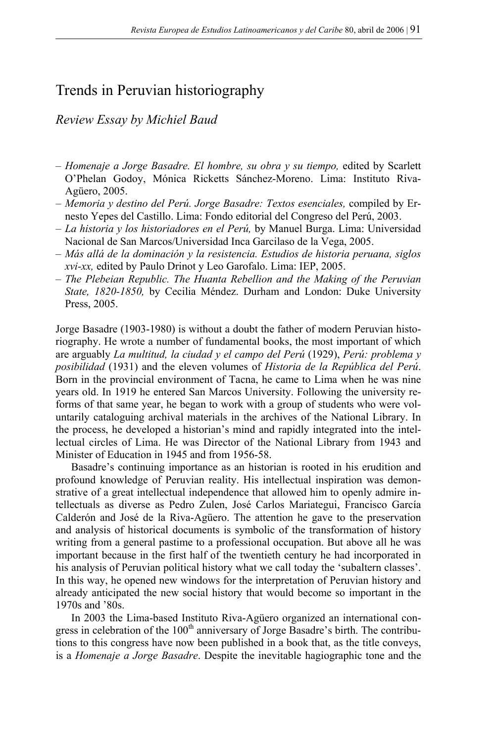## Trends in Peruvian historiography

*Review Essay by Michiel Baud* 

- *Homenaje a Jorge Basadre. El hombre, su obra y su tiempo,* edited by Scarlett O'Phelan Godoy, Mónica Ricketts Sánchez-Moreno. Lima: Instituto Riva-Agüero, 2005.
- *Memoria y destino del Perú. Jorge Basadre: Textos esenciales,* compiled by Ernesto Yepes del Castillo. Lima: Fondo editorial del Congreso del Perú, 2003.
- *La historia y los historiadores en el Perú,* by Manuel Burga. Lima: Universidad Nacional de San Marcos/Universidad Inca Garcilaso de la Vega, 2005.
- *Más allá de la dominación y la resistencia. Estudios de historia peruana, siglos xvi-xx,* edited by Paulo Drinot y Leo Garofalo. Lima: IEP, 2005.
- *The Plebeian Republic. The Huanta Rebellion and the Making of the Peruvian State, 1820-1850,* by Cecilia Méndez. Durham and London: Duke University Press, 2005.

Jorge Basadre (1903-1980) is without a doubt the father of modern Peruvian historiography. He wrote a number of fundamental books, the most important of which are arguably *La multitud, la ciudad y el campo del Perú* (1929), *Perú: problema y posibilidad* (1931) and the eleven volumes of *Historia de la República del Perú*. Born in the provincial environment of Tacna, he came to Lima when he was nine years old. In 1919 he entered San Marcos University. Following the university reforms of that same year, he began to work with a group of students who were voluntarily cataloguing archival materials in the archives of the National Library. In the process, he developed a historian's mind and rapidly integrated into the intellectual circles of Lima. He was Director of the National Library from 1943 and Minister of Education in 1945 and from 1956-58.

 Basadre's continuing importance as an historian is rooted in his erudition and profound knowledge of Peruvian reality. His intellectual inspiration was demonstrative of a great intellectual independence that allowed him to openly admire intellectuals as diverse as Pedro Zulen, José Carlos Mariategui, Francisco García Calderón and José de la Riva-Agüero. The attention he gave to the preservation and analysis of historical documents is symbolic of the transformation of history writing from a general pastime to a professional occupation. But above all he was important because in the first half of the twentieth century he had incorporated in his analysis of Peruvian political history what we call today the 'subaltern classes'. In this way, he opened new windows for the interpretation of Peruvian history and already anticipated the new social history that would become so important in the 1970s and '80s.

 In 2003 the Lima-based Instituto Riva-Agüero organized an international congress in celebration of the  $100<sup>th</sup>$  anniversary of Jorge Basadre's birth. The contributions to this congress have now been published in a book that, as the title conveys, is a *Homenaje a Jorge Basadre*. Despite the inevitable hagiographic tone and the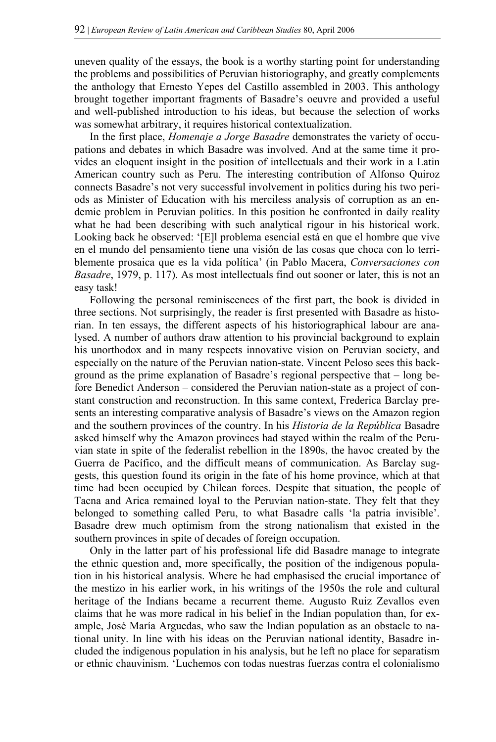uneven quality of the essays, the book is a worthy starting point for understanding the problems and possibilities of Peruvian historiography, and greatly complements the anthology that Ernesto Yepes del Castillo assembled in 2003. This anthology brought together important fragments of Basadre's oeuvre and provided a useful and well-published introduction to his ideas, but because the selection of works was somewhat arbitrary, it requires historical contextualization.

 In the first place, *Homenaje a Jorge Basadre* demonstrates the variety of occupations and debates in which Basadre was involved. And at the same time it provides an eloquent insight in the position of intellectuals and their work in a Latin American country such as Peru. The interesting contribution of Alfonso Quiroz connects Basadre's not very successful involvement in politics during his two periods as Minister of Education with his merciless analysis of corruption as an endemic problem in Peruvian politics. In this position he confronted in daily reality what he had been describing with such analytical rigour in his historical work. Looking back he observed: '[E]l problema esencial está en que el hombre que vive en el mundo del pensamiento tiene una visión de las cosas que choca con lo terriblemente prosaica que es la vida política' (in Pablo Macera, *Conversaciones con Basadre*, 1979, p. 117). As most intellectuals find out sooner or later, this is not an easy task!

 Following the personal reminiscences of the first part, the book is divided in three sections. Not surprisingly, the reader is first presented with Basadre as historian. In ten essays, the different aspects of his historiographical labour are analysed. A number of authors draw attention to his provincial background to explain his unorthodox and in many respects innovative vision on Peruvian society, and especially on the nature of the Peruvian nation-state. Vincent Peloso sees this background as the prime explanation of Basadre's regional perspective that – long before Benedict Anderson – considered the Peruvian nation-state as a project of constant construction and reconstruction. In this same context, Frederica Barclay presents an interesting comparative analysis of Basadre's views on the Amazon region and the southern provinces of the country. In his *Historia de la República* Basadre asked himself why the Amazon provinces had stayed within the realm of the Peruvian state in spite of the federalist rebellion in the 1890s, the havoc created by the Guerra de Pacífico, and the difficult means of communication. As Barclay suggests, this question found its origin in the fate of his home province, which at that time had been occupied by Chilean forces. Despite that situation, the people of Tacna and Arica remained loyal to the Peruvian nation-state. They felt that they belonged to something called Peru, to what Basadre calls 'la patria invisible'. Basadre drew much optimism from the strong nationalism that existed in the southern provinces in spite of decades of foreign occupation.

 Only in the latter part of his professional life did Basadre manage to integrate the ethnic question and, more specifically, the position of the indigenous population in his historical analysis. Where he had emphasised the crucial importance of the mestizo in his earlier work, in his writings of the 1950s the role and cultural heritage of the Indians became a recurrent theme. Augusto Ruiz Zevallos even claims that he was more radical in his belief in the Indian population than, for example, José María Arguedas, who saw the Indian population as an obstacle to national unity. In line with his ideas on the Peruvian national identity, Basadre included the indigenous population in his analysis, but he left no place for separatism or ethnic chauvinism. 'Luchemos con todas nuestras fuerzas contra el colonialismo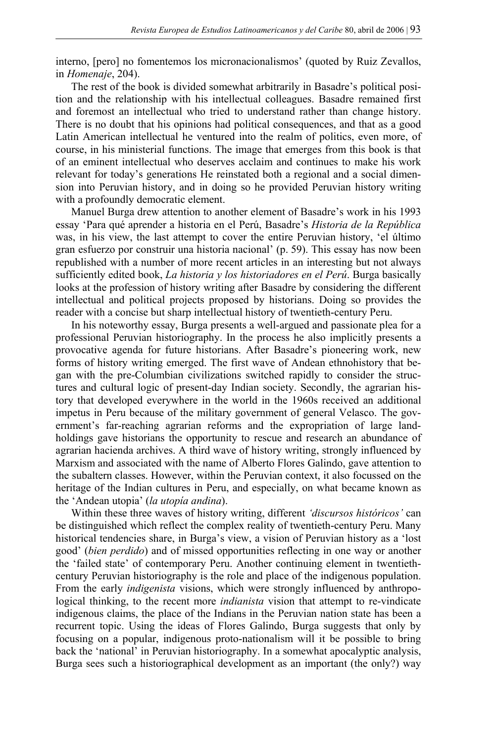interno, [pero] no fomentemos los micronacionalismos' (quoted by Ruiz Zevallos, in *Homenaje*, 204).

 The rest of the book is divided somewhat arbitrarily in Basadre's political position and the relationship with his intellectual colleagues. Basadre remained first and foremost an intellectual who tried to understand rather than change history. There is no doubt that his opinions had political consequences, and that as a good Latin American intellectual he ventured into the realm of politics, even more, of course, in his ministerial functions. The image that emerges from this book is that of an eminent intellectual who deserves acclaim and continues to make his work relevant for today's generations He reinstated both a regional and a social dimension into Peruvian history, and in doing so he provided Peruvian history writing with a profoundly democratic element.

 Manuel Burga drew attention to another element of Basadre's work in his 1993 essay 'Para qué aprender a historia en el Perú, Basadre's *Historia de la República*  was, in his view, the last attempt to cover the entire Peruvian history, 'el último gran esfuerzo por construir una historia nacional' (p. 59). This essay has now been republished with a number of more recent articles in an interesting but not always sufficiently edited book, *La historia y los historiadores en el Perú*. Burga basically looks at the profession of history writing after Basadre by considering the different intellectual and political projects proposed by historians. Doing so provides the reader with a concise but sharp intellectual history of twentieth-century Peru.

 In his noteworthy essay, Burga presents a well-argued and passionate plea for a professional Peruvian historiography. In the process he also implicitly presents a provocative agenda for future historians. After Basadre's pioneering work, new forms of history writing emerged. The first wave of Andean ethnohistory that began with the pre-Columbian civilizations switched rapidly to consider the structures and cultural logic of present-day Indian society. Secondly, the agrarian history that developed everywhere in the world in the 1960s received an additional impetus in Peru because of the military government of general Velasco. The government's far-reaching agrarian reforms and the expropriation of large landholdings gave historians the opportunity to rescue and research an abundance of agrarian hacienda archives. A third wave of history writing, strongly influenced by Marxism and associated with the name of Alberto Flores Galindo, gave attention to the subaltern classes. However, within the Peruvian context, it also focussed on the heritage of the Indian cultures in Peru, and especially, on what became known as the 'Andean utopia' (*la utopía andina*).

 Within these three waves of history writing, different *'discursos históricos'* can be distinguished which reflect the complex reality of twentieth-century Peru. Many historical tendencies share, in Burga's view, a vision of Peruvian history as a 'lost good' (*bien perdido*) and of missed opportunities reflecting in one way or another the 'failed state' of contemporary Peru. Another continuing element in twentiethcentury Peruvian historiography is the role and place of the indigenous population. From the early *indigenista* visions, which were strongly influenced by anthropological thinking, to the recent more *indianista* vision that attempt to re-vindicate indigenous claims, the place of the Indians in the Peruvian nation state has been a recurrent topic. Using the ideas of Flores Galindo, Burga suggests that only by focusing on a popular, indigenous proto-nationalism will it be possible to bring back the 'national' in Peruvian historiography. In a somewhat apocalyptic analysis, Burga sees such a historiographical development as an important (the only?) way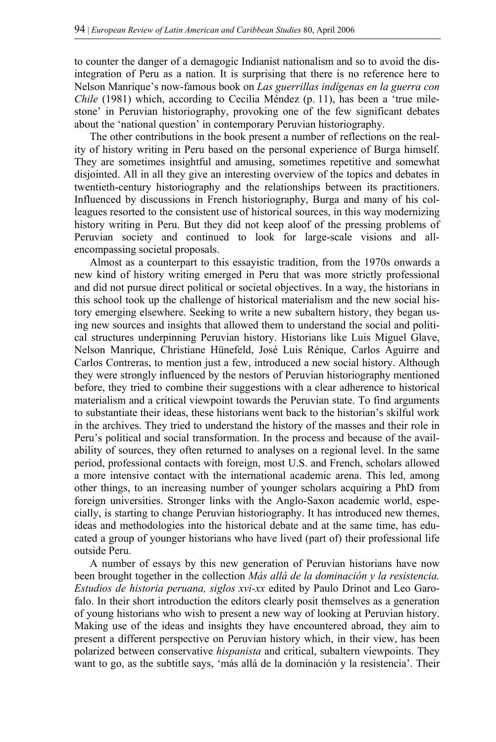to counter the danger of a demagogic Indianist nationalism and so to avoid the disintegration of Peru as a nation. It is surprising that there is no reference here to Nelson Manrique's now-famous book on *Las guerrillas indígenas en la guerra con Chile* (1981) which, according to Cecilia Méndez (p. 11), has been a 'true milestone' in Peruvian historiography, provoking one of the few significant debates about the 'national question' in contemporary Peruvian historiography.

 The other contributions in the book present a number of reflections on the reality of history writing in Peru based on the personal experience of Burga himself. They are sometimes insightful and amusing, sometimes repetitive and somewhat disjointed. All in all they give an interesting overview of the topics and debates in twentieth-century historiography and the relationships between its practitioners. Influenced by discussions in French historiography, Burga and many of his colleagues resorted to the consistent use of historical sources, in this way modernizing history writing in Peru. But they did not keep aloof of the pressing problems of Peruvian society and continued to look for large-scale visions and allencompassing societal proposals.

 Almost as a counterpart to this essayistic tradition, from the 1970s onwards a new kind of history writing emerged in Peru that was more strictly professional and did not pursue direct political or societal objectives. In a way, the historians in this school took up the challenge of historical materialism and the new social history emerging elsewhere. Seeking to write a new subaltern history, they began using new sources and insights that allowed them to understand the social and political structures underpinning Peruvian history. Historians like Luis Miguel Glave, Nelson Manrique, Christiane Hünefeld, José Luis Rénique, Carlos Aguirre and Carlos Contreras, to mention just a few, introduced a new social history. Although they were strongly influenced by the nestors of Peruvian historiography mentioned before, they tried to combine their suggestions with a clear adherence to historical materialism and a critical viewpoint towards the Peruvian state. To find arguments to substantiate their ideas, these historians went back to the historian's skilful work in the archives. They tried to understand the history of the masses and their role in Peru's political and social transformation. In the process and because of the availability of sources, they often returned to analyses on a regional level. In the same period, professional contacts with foreign, most U.S. and French, scholars allowed a more intensive contact with the international academic arena. This led, among other things, to an increasing number of younger scholars acquiring a PhD from foreign universities. Stronger links with the Anglo-Saxon academic world, especially, is starting to change Peruvian historiography. It has introduced new themes, ideas and methodologies into the historical debate and at the same time, has educated a group of younger historians who have lived (part of) their professional life outside Peru.

 A number of essays by this new generation of Peruvian historians have now been brought together in the collection *Más allá de la dominación y la resistencia. Estudios de historia peruana, siglos xvi-xx* edited by Paulo Drinot and Leo Garofalo. In their short introduction the editors clearly posit themselves as a generation of young historians who wish to present a new way of looking at Peruvian history. Making use of the ideas and insights they have encountered abroad, they aim to present a different perspective on Peruvian history which, in their view, has been polarized between conservative *hispanista* and critical, subaltern viewpoints. They want to go, as the subtitle says, 'más allá de la dominación y la resistencia'. Their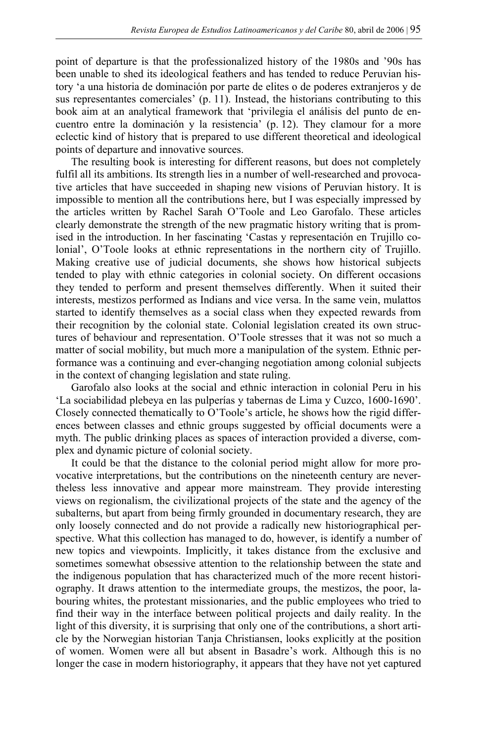point of departure is that the professionalized history of the 1980s and '90s has been unable to shed its ideological feathers and has tended to reduce Peruvian history 'a una historia de dominación por parte de elites o de poderes extranjeros y de sus representantes comerciales' (p. 11). Instead, the historians contributing to this book aim at an analytical framework that 'privilegia el análisis del punto de encuentro entre la dominación y la resistencia' (p. 12). They clamour for a more eclectic kind of history that is prepared to use different theoretical and ideological points of departure and innovative sources.

 The resulting book is interesting for different reasons, but does not completely fulfil all its ambitions. Its strength lies in a number of well-researched and provocative articles that have succeeded in shaping new visions of Peruvian history. It is impossible to mention all the contributions here, but I was especially impressed by the articles written by Rachel Sarah O'Toole and Leo Garofalo. These articles clearly demonstrate the strength of the new pragmatic history writing that is promised in the introduction. In her fascinating 'Castas y representación en Trujillo colonial', O'Toole looks at ethnic representations in the northern city of Trujillo. Making creative use of judicial documents, she shows how historical subjects tended to play with ethnic categories in colonial society. On different occasions they tended to perform and present themselves differently. When it suited their interests, mestizos performed as Indians and vice versa. In the same vein, mulattos started to identify themselves as a social class when they expected rewards from their recognition by the colonial state. Colonial legislation created its own structures of behaviour and representation. O'Toole stresses that it was not so much a matter of social mobility, but much more a manipulation of the system. Ethnic performance was a continuing and ever-changing negotiation among colonial subjects in the context of changing legislation and state ruling.

 Garofalo also looks at the social and ethnic interaction in colonial Peru in his 'La sociabilidad plebeya en las pulperías y tabernas de Lima y Cuzco, 1600-1690'. Closely connected thematically to O'Toole's article, he shows how the rigid differences between classes and ethnic groups suggested by official documents were a myth. The public drinking places as spaces of interaction provided a diverse, complex and dynamic picture of colonial society.

 It could be that the distance to the colonial period might allow for more provocative interpretations, but the contributions on the nineteenth century are nevertheless less innovative and appear more mainstream. They provide interesting views on regionalism, the civilizational projects of the state and the agency of the subalterns, but apart from being firmly grounded in documentary research, they are only loosely connected and do not provide a radically new historiographical perspective. What this collection has managed to do, however, is identify a number of new topics and viewpoints. Implicitly, it takes distance from the exclusive and sometimes somewhat obsessive attention to the relationship between the state and the indigenous population that has characterized much of the more recent historiography. It draws attention to the intermediate groups, the mestizos, the poor, labouring whites, the protestant missionaries, and the public employees who tried to find their way in the interface between political projects and daily reality. In the light of this diversity, it is surprising that only one of the contributions, a short article by the Norwegian historian Tanja Christiansen, looks explicitly at the position of women. Women were all but absent in Basadre's work. Although this is no longer the case in modern historiography, it appears that they have not yet captured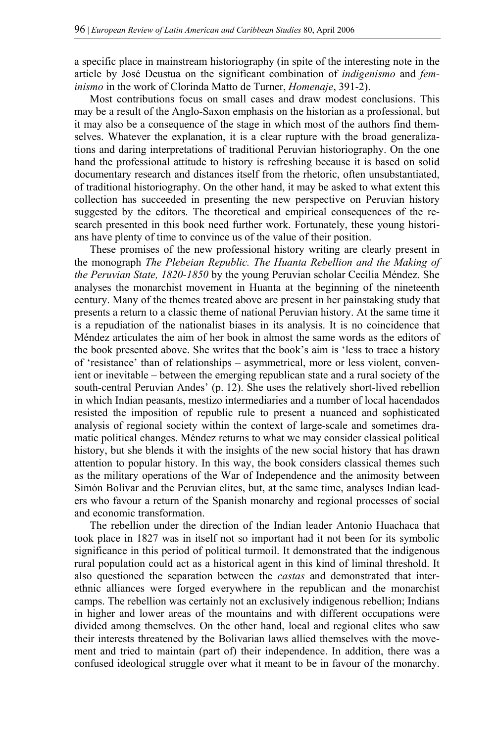a specific place in mainstream historiography (in spite of the interesting note in the article by José Deustua on the significant combination of *indigenismo* and *feminismo* in the work of Clorinda Matto de Turner, *Homenaje*, 391-2).

 Most contributions focus on small cases and draw modest conclusions. This may be a result of the Anglo-Saxon emphasis on the historian as a professional, but it may also be a consequence of the stage in which most of the authors find themselves. Whatever the explanation, it is a clear rupture with the broad generalizations and daring interpretations of traditional Peruvian historiography. On the one hand the professional attitude to history is refreshing because it is based on solid documentary research and distances itself from the rhetoric, often unsubstantiated, of traditional historiography. On the other hand, it may be asked to what extent this collection has succeeded in presenting the new perspective on Peruvian history suggested by the editors. The theoretical and empirical consequences of the research presented in this book need further work. Fortunately, these young historians have plenty of time to convince us of the value of their position.

 These promises of the new professional history writing are clearly present in the monograph *The Plebeian Republic. The Huanta Rebellion and the Making of the Peruvian State, 1820-1850* by the young Peruvian scholar Cecilia Méndez. She analyses the monarchist movement in Huanta at the beginning of the nineteenth century. Many of the themes treated above are present in her painstaking study that presents a return to a classic theme of national Peruvian history. At the same time it is a repudiation of the nationalist biases in its analysis. It is no coincidence that Méndez articulates the aim of her book in almost the same words as the editors of the book presented above. She writes that the book's aim is 'less to trace a history of 'resistance' than of relationships – asymmetrical, more or less violent, convenient or inevitable – between the emerging republican state and a rural society of the south-central Peruvian Andes' (p. 12). She uses the relatively short-lived rebellion in which Indian peasants, mestizo intermediaries and a number of local hacendados resisted the imposition of republic rule to present a nuanced and sophisticated analysis of regional society within the context of large-scale and sometimes dramatic political changes. Méndez returns to what we may consider classical political history, but she blends it with the insights of the new social history that has drawn attention to popular history. In this way, the book considers classical themes such as the military operations of the War of Independence and the animosity between Simón Bolívar and the Peruvian elites, but, at the same time, analyses Indian leaders who favour a return of the Spanish monarchy and regional processes of social and economic transformation.

 The rebellion under the direction of the Indian leader Antonio Huachaca that took place in 1827 was in itself not so important had it not been for its symbolic significance in this period of political turmoil. It demonstrated that the indigenous rural population could act as a historical agent in this kind of liminal threshold. It also questioned the separation between the *castas* and demonstrated that interethnic alliances were forged everywhere in the republican and the monarchist camps. The rebellion was certainly not an exclusively indigenous rebellion; Indians in higher and lower areas of the mountains and with different occupations were divided among themselves. On the other hand, local and regional elites who saw their interests threatened by the Bolivarian laws allied themselves with the movement and tried to maintain (part of) their independence. In addition, there was a confused ideological struggle over what it meant to be in favour of the monarchy.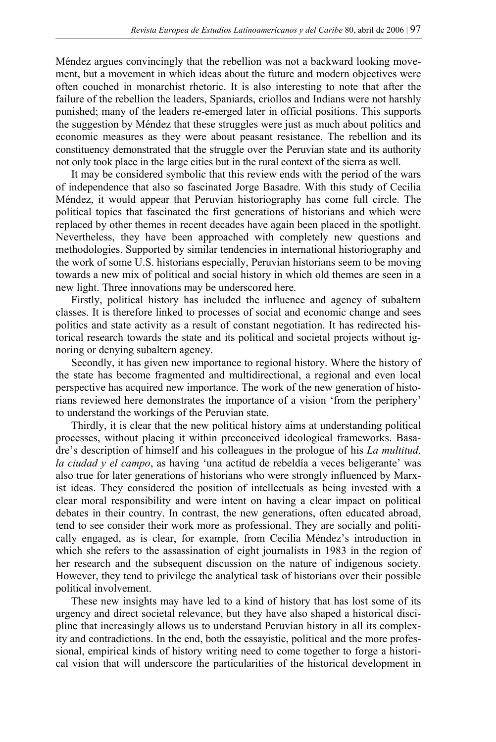Méndez argues convincingly that the rebellion was not a backward looking movement, but a movement in which ideas about the future and modern objectives were often couched in monarchist rhetoric. It is also interesting to note that after the failure of the rebellion the leaders, Spaniards, criollos and Indians were not harshly punished; many of the leaders re-emerged later in official positions. This supports the suggestion by Méndez that these struggles were just as much about politics and economic measures as they were about peasant resistance. The rebellion and its constituency demonstrated that the struggle over the Peruvian state and its authority not only took place in the large cities but in the rural context of the sierra as well.

 It may be considered symbolic that this review ends with the period of the wars of independence that also so fascinated Jorge Basadre. With this study of Cecilia Méndez, it would appear that Peruvian historiography has come full circle. The political topics that fascinated the first generations of historians and which were replaced by other themes in recent decades have again been placed in the spotlight. Nevertheless, they have been approached with completely new questions and methodologies. Supported by similar tendencies in international historiography and the work of some U.S. historians especially, Peruvian historians seem to be moving towards a new mix of political and social history in which old themes are seen in a new light. Three innovations may be underscored here.

 Firstly, political history has included the influence and agency of subaltern classes. It is therefore linked to processes of social and economic change and sees politics and state activity as a result of constant negotiation. It has redirected historical research towards the state and its political and societal projects without ignoring or denying subaltern agency.

 Secondly, it has given new importance to regional history. Where the history of the state has become fragmented and multidirectional, a regional and even local perspective has acquired new importance. The work of the new generation of historians reviewed here demonstrates the importance of a vision 'from the periphery' to understand the workings of the Peruvian state.

 Thirdly, it is clear that the new political history aims at understanding political processes, without placing it within preconceived ideological frameworks. Basadre's description of himself and his colleagues in the prologue of his *La multitud, la ciudad y el campo*, as having 'una actitud de rebeldía a veces beligerante' was also true for later generations of historians who were strongly influenced by Marxist ideas. They considered the position of intellectuals as being invested with a clear moral responsibility and were intent on having a clear impact on political debates in their country. In contrast, the new generations, often educated abroad, tend to see consider their work more as professional. They are socially and politically engaged, as is clear, for example, from Cecilia Méndez's introduction in which she refers to the assassination of eight journalists in 1983 in the region of her research and the subsequent discussion on the nature of indigenous society. However, they tend to privilege the analytical task of historians over their possible political involvement.

 These new insights may have led to a kind of history that has lost some of its urgency and direct societal relevance, but they have also shaped a historical discipline that increasingly allows us to understand Peruvian history in all its complexity and contradictions. In the end, both the essayistic, political and the more professional, empirical kinds of history writing need to come together to forge a historical vision that will underscore the particularities of the historical development in